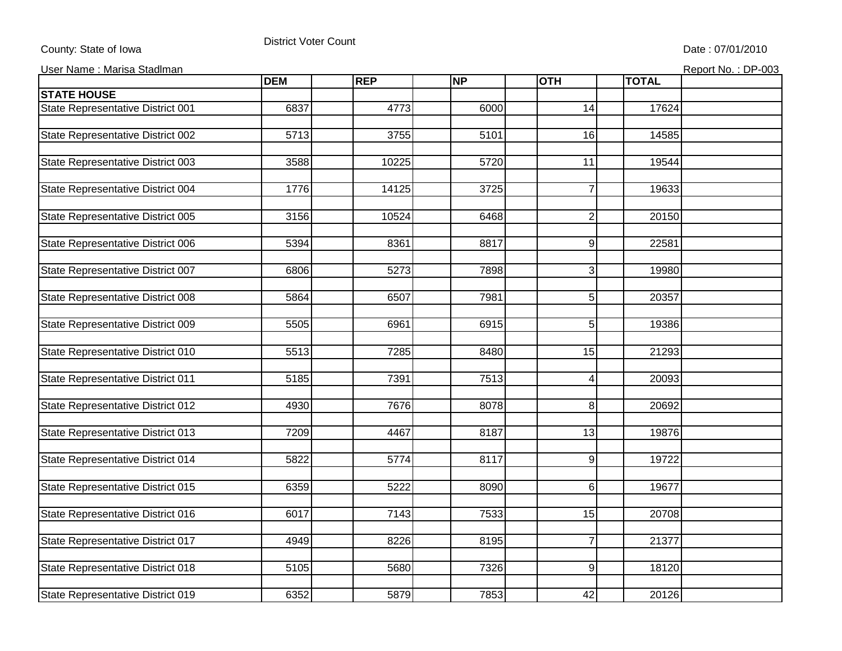## County: State of Iowa

## District Voter Count

Date : 07/01/2010

User Name : Marisa Stadlman

|  |  | Report No.: DP-003 |  |
|--|--|--------------------|--|
|  |  |                    |  |

|                                   | <b>DEM</b> | <b>REP</b>        | <b>NP</b> | <b>OTH</b>      | <b>TOTAL</b> |  |
|-----------------------------------|------------|-------------------|-----------|-----------------|--------------|--|
| <b>STATE HOUSE</b>                |            |                   |           |                 |              |  |
| State Representative District 001 | 6837       | 4773              | 6000      | 14              | 17624        |  |
|                                   |            |                   |           |                 |              |  |
| State Representative District 002 | 5713       | 3755              | 5101      | 16              | 14585        |  |
|                                   |            |                   |           |                 |              |  |
| State Representative District 003 | 3588       | 10225             | 5720      | $\overline{11}$ | 19544        |  |
|                                   |            |                   |           |                 |              |  |
| State Representative District 004 | 1776       | 14125             | 3725      | $\overline{7}$  | 19633        |  |
|                                   |            |                   |           |                 |              |  |
| State Representative District 005 | 3156       | 10524             | 6468      | $\overline{2}$  | 20150        |  |
|                                   |            |                   |           |                 |              |  |
| State Representative District 006 | 5394       | 8361              | 8817      | $\overline{9}$  | 22581        |  |
|                                   |            |                   |           |                 |              |  |
| State Representative District 007 | 6806       | 5273              | 7898      | $\overline{3}$  | 19980        |  |
|                                   |            |                   | 7981      |                 |              |  |
| State Representative District 008 | 5864       | 6507              |           | 5               | 20357        |  |
| State Representative District 009 | 5505       | 6961              | 6915      | 5 <sub>l</sub>  | 19386        |  |
|                                   |            |                   |           |                 |              |  |
| State Representative District 010 | 5513       | 7285              | 8480      | 15              | 21293        |  |
|                                   |            |                   |           |                 |              |  |
| State Representative District 011 | 5185       | $\overline{7391}$ | 7513      | 4               | 20093        |  |
|                                   |            |                   |           |                 |              |  |
| State Representative District 012 | 4930       | 7676              | 8078      | 8 <sup>1</sup>  | 20692        |  |
|                                   |            |                   |           |                 |              |  |
| State Representative District 013 | 7209       | 4467              | 8187      | 13              | 19876        |  |
|                                   |            |                   |           |                 |              |  |
| State Representative District 014 | 5822       | 5774              | 8117      | 9               | 19722        |  |
|                                   |            |                   |           |                 |              |  |
| State Representative District 015 | 6359       | 5222              | 8090      | $6 \mid$        | 19677        |  |
|                                   |            |                   |           |                 |              |  |
| State Representative District 016 | 6017       | 7143              | 7533      | 15              | 20708        |  |
|                                   |            |                   |           |                 |              |  |
| State Representative District 017 | 4949       | 8226              | 8195      | $\overline{7}$  | 21377        |  |
|                                   |            |                   |           |                 |              |  |
| State Representative District 018 | 5105       | 5680              | 7326      | $\overline{9}$  | 18120        |  |
|                                   |            |                   |           |                 |              |  |
| State Representative District 019 | 6352       | 5879              | 7853      | 42              | 20126        |  |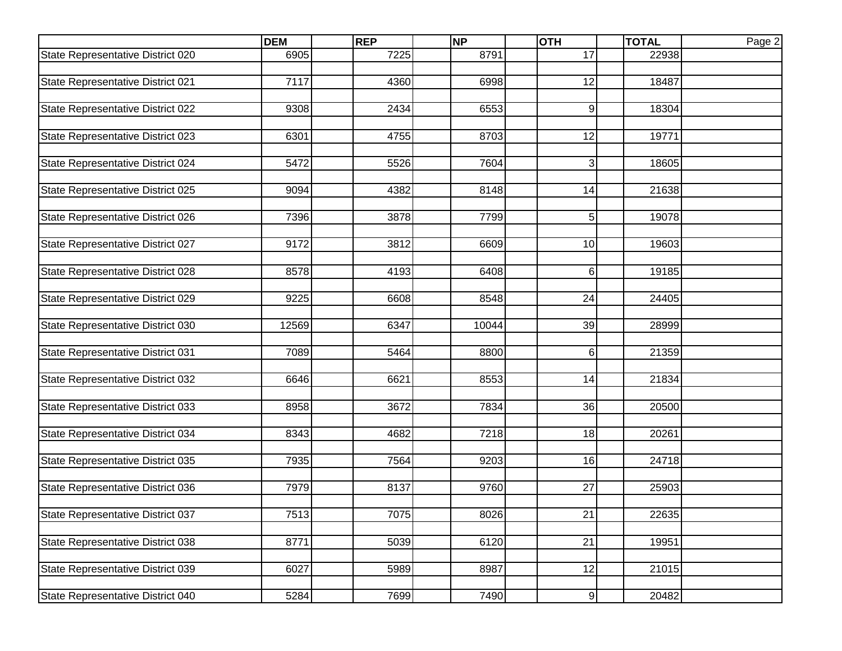|                                   | <b>DEM</b> | REP  | <b>NP</b> | <b>OTH</b>     | <b>TOTAL</b> | Page 2 |
|-----------------------------------|------------|------|-----------|----------------|--------------|--------|
| State Representative District 020 | 6905       | 7225 | 8791      | 17             | 22938        |        |
|                                   |            |      |           |                |              |        |
| State Representative District 021 | 7117       | 4360 | 6998      | 12             | 18487        |        |
|                                   |            |      |           |                |              |        |
| State Representative District 022 | 9308       | 2434 | 6553      | 9              | 18304        |        |
|                                   |            |      |           |                |              |        |
| State Representative District 023 | 6301       | 4755 | 8703      | 12             | 19771        |        |
|                                   |            |      |           |                |              |        |
| State Representative District 024 | 5472       | 5526 | 7604      | 3              | 18605        |        |
|                                   |            |      |           |                |              |        |
| State Representative District 025 | 9094       | 4382 | 8148      | 14             | 21638        |        |
|                                   |            |      |           |                |              |        |
| State Representative District 026 | 7396       | 3878 | 7799      | 5              | 19078        |        |
|                                   | 9172       |      |           | 10             | 19603        |        |
| State Representative District 027 |            | 3812 | 6609      |                |              |        |
|                                   | 8578       | 4193 | 6408      | 6              | 19185        |        |
| State Representative District 028 |            |      |           |                |              |        |
| State Representative District 029 | 9225       | 6608 | 8548      | 24             | 24405        |        |
|                                   |            |      |           |                |              |        |
| State Representative District 030 | 12569      | 6347 | 10044     | 39             | 28999        |        |
|                                   |            |      |           |                |              |        |
| State Representative District 031 | 7089       | 5464 | 8800      | 6              | 21359        |        |
|                                   |            |      |           |                |              |        |
| State Representative District 032 | 6646       | 6621 | 8553      | 14             | 21834        |        |
|                                   |            |      |           |                |              |        |
| State Representative District 033 | 8958       | 3672 | 7834      | 36             | 20500        |        |
|                                   |            |      |           |                |              |        |
| State Representative District 034 | 8343       | 4682 | 7218      | 18             | 20261        |        |
|                                   |            |      |           |                |              |        |
| State Representative District 035 | 7935       | 7564 | 9203      | 16             | 24718        |        |
|                                   |            |      |           |                |              |        |
| State Representative District 036 | 7979       | 8137 | 9760      | 27             | 25903        |        |
|                                   |            |      |           |                |              |        |
| State Representative District 037 | 7513       | 7075 | 8026      | 21             | 22635        |        |
|                                   |            |      |           |                |              |        |
| State Representative District 038 | 8771       | 5039 | 6120      | 21             | 19951        |        |
|                                   |            |      |           |                |              |        |
| State Representative District 039 | 6027       | 5989 | 8987      | 12             | 21015        |        |
|                                   |            |      |           |                |              |        |
| State Representative District 040 | 5284       | 7699 | 7490      | $\overline{9}$ | 20482        |        |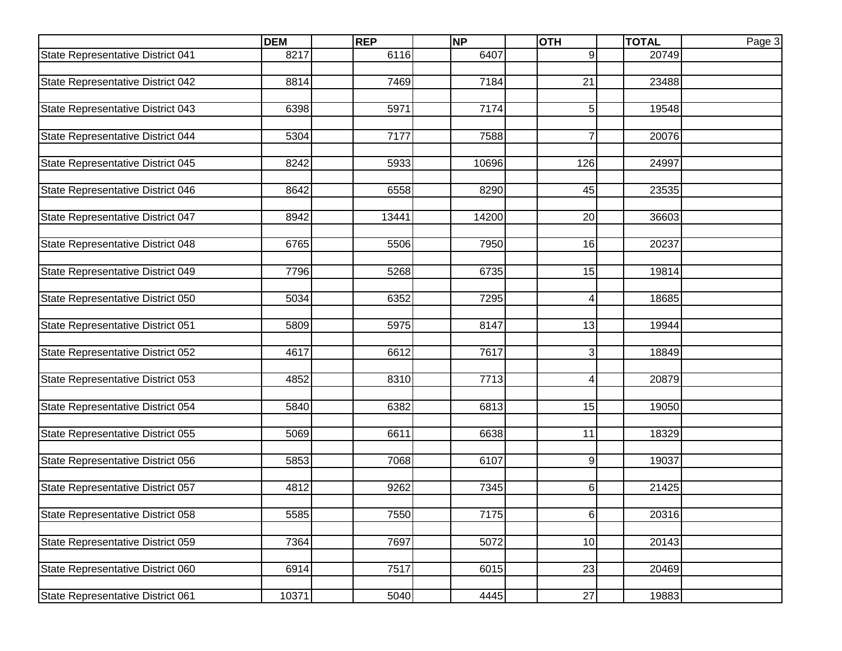|                                   | <b>DEM</b> | <b>REP</b> | <b>NP</b> | <b>OTH</b>      | <b>TOTAL</b> | Page 3 |
|-----------------------------------|------------|------------|-----------|-----------------|--------------|--------|
| State Representative District 041 | 8217       | 6116       | 6407      | 9               | 20749        |        |
|                                   |            |            |           |                 |              |        |
| State Representative District 042 | 8814       | 7469       | 7184      | $\overline{21}$ | 23488        |        |
|                                   |            |            |           |                 |              |        |
| State Representative District 043 | 6398       | 5971       | 7174      | 5               | 19548        |        |
|                                   |            |            |           |                 |              |        |
| State Representative District 044 | 5304       | 7177       | 7588      | $\overline{7}$  | 20076        |        |
|                                   |            |            |           |                 |              |        |
| State Representative District 045 | 8242       | 5933       | 10696     | 126             | 24997        |        |
|                                   |            |            |           |                 |              |        |
| State Representative District 046 | 8642       | 6558       | 8290      | 45              | 23535        |        |
|                                   |            |            |           |                 |              |        |
| State Representative District 047 | 8942       | 13441      | 14200     | 20              | 36603        |        |
|                                   |            |            |           |                 |              |        |
| State Representative District 048 | 6765       | 5506       | 7950      | 16              | 20237        |        |
|                                   |            |            |           |                 |              |        |
| State Representative District 049 | 7796       | 5268       | 6735      | 15              | 19814        |        |
|                                   |            |            |           |                 |              |        |
| State Representative District 050 | 5034       | 6352       | 7295      | 4               | 18685        |        |
|                                   |            |            |           |                 |              |        |
| State Representative District 051 | 5809       | 5975       | 8147      | 13              | 19944        |        |
| State Representative District 052 | 4617       | 6612       | 7617      | 3               | 18849        |        |
|                                   |            |            |           |                 |              |        |
| State Representative District 053 | 4852       | 8310       | 7713      | 4               | 20879        |        |
|                                   |            |            |           |                 |              |        |
| State Representative District 054 | 5840       | 6382       | 6813      | 15              | 19050        |        |
|                                   |            |            |           |                 |              |        |
| State Representative District 055 | 5069       | 6611       | 6638      | 11              | 18329        |        |
|                                   |            |            |           |                 |              |        |
| State Representative District 056 | 5853       | 7068       | 6107      | 9               | 19037        |        |
|                                   |            |            |           |                 |              |        |
| State Representative District 057 | 4812       | 9262       | 7345      | 6               | 21425        |        |
|                                   |            |            |           |                 |              |        |
| State Representative District 058 | 5585       | 7550       | 7175      | 6               | 20316        |        |
|                                   |            |            |           |                 |              |        |
| State Representative District 059 | 7364       | 7697       | 5072      | 10              | 20143        |        |
|                                   |            |            |           |                 |              |        |
| State Representative District 060 | 6914       | 7517       | 6015      | 23              | 20469        |        |
|                                   |            |            |           |                 |              |        |
| State Representative District 061 | 10371      | 5040       | 4445      | $\overline{27}$ | 19883        |        |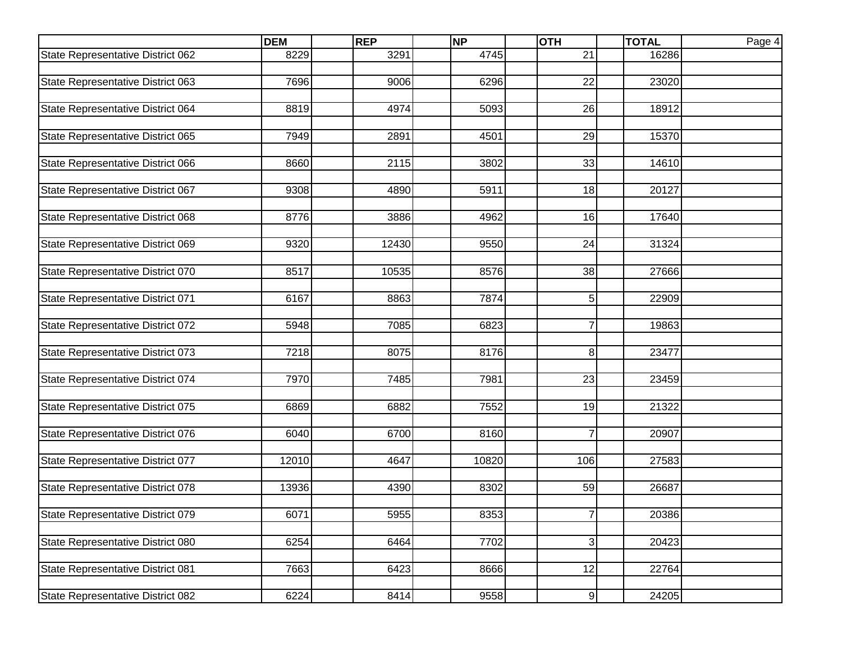|                                   | <b>DEM</b> | <b>REP</b> | <b>NP</b> | <b>OTH</b>      | <b>TOTAL</b> | Page 4 |
|-----------------------------------|------------|------------|-----------|-----------------|--------------|--------|
| State Representative District 062 | 8229       | 3291       | 4745      | $\overline{21}$ | 16286        |        |
|                                   |            |            |           |                 |              |        |
| State Representative District 063 | 7696       | 9006       | 6296      | $\overline{22}$ | 23020        |        |
|                                   |            |            |           |                 |              |        |
| State Representative District 064 | 8819       | 4974       | 5093      | 26              | 18912        |        |
|                                   |            |            |           |                 |              |        |
| State Representative District 065 | 7949       | 2891       | 4501      | 29              | 15370        |        |
|                                   |            |            |           |                 |              |        |
| State Representative District 066 | 8660       | 2115       | 3802      | 33              | 14610        |        |
|                                   |            |            |           |                 |              |        |
| State Representative District 067 | 9308       | 4890       | 5911      | 18              | 20127        |        |
|                                   |            |            |           |                 |              |        |
| State Representative District 068 | 8776       | 3886       | 4962      | 16              | 17640        |        |
|                                   |            |            |           |                 |              |        |
| State Representative District 069 | 9320       | 12430      | 9550      | 24              | 31324        |        |
|                                   |            |            |           |                 |              |        |
| State Representative District 070 | 8517       | 10535      | 8576      | 38              | 27666        |        |
|                                   | 6167       | 8863       | 7874      | 5               | 22909        |        |
| State Representative District 071 |            |            |           |                 |              |        |
| State Representative District 072 | 5948       | 7085       | 6823      | $\overline{7}$  | 19863        |        |
|                                   |            |            |           |                 |              |        |
| State Representative District 073 | 7218       | 8075       | 8176      | 8               | 23477        |        |
|                                   |            |            |           |                 |              |        |
| State Representative District 074 | 7970       | 7485       | 7981      | 23              | 23459        |        |
|                                   |            |            |           |                 |              |        |
| State Representative District 075 | 6869       | 6882       | 7552      | 19              | 21322        |        |
|                                   |            |            |           |                 |              |        |
| State Representative District 076 | 6040       | 6700       | 8160      | $\overline{7}$  | 20907        |        |
|                                   |            |            |           |                 |              |        |
| State Representative District 077 | 12010      | 4647       | 10820     | 106             | 27583        |        |
|                                   |            |            |           |                 |              |        |
| State Representative District 078 | 13936      | 4390       | 8302      | 59              | 26687        |        |
|                                   |            |            |           |                 |              |        |
| State Representative District 079 | 6071       | 5955       | 8353      | 7 <sup>1</sup>  | 20386        |        |
|                                   |            |            |           |                 |              |        |
| State Representative District 080 | 6254       | 6464       | 7702      | 3 <sup>1</sup>  | 20423        |        |
|                                   |            |            |           |                 |              |        |
| State Representative District 081 | 7663       | 6423       | 8666      | 12              | 22764        |        |
|                                   |            |            |           |                 |              |        |
| State Representative District 082 | 6224       | 8414       | 9558      | 9               | 24205        |        |